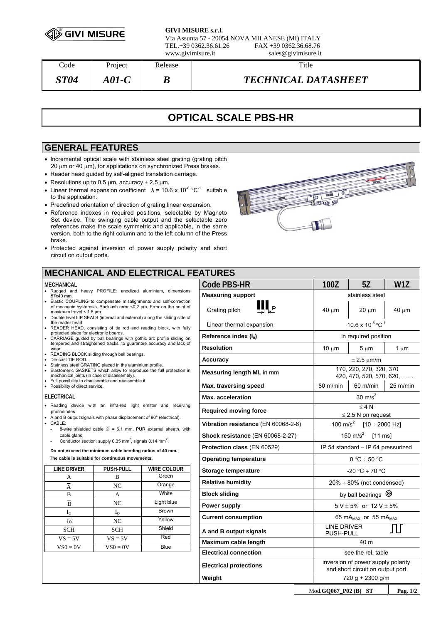

**GIVI MISURE s.r.l.** Via Assunta 57 - 20054 NOVA MILANESE (MI) ITALY TEL.+39 0362.36.61.26 FAX +39 0362.36.68.76 www.givimisure.it sales@givimisure.it

| $\mathrm{Code}$    | Project    | Release | Title                      |
|--------------------|------------|---------|----------------------------|
| <i><b>ST04</b></i> | A01-C $\,$ |         | <b>TECHNICAL DATASHEET</b> |

# **OPTICAL SCALE PBS-HR**

### **GENERAL FEATURES**

- Incremental optical scale with stainless steel grating (grating pitch 20 μm or 40 μm), for applications on synchronized Press brakes.
- Reader head guided by self-aligned translation carriage.
- Resolutions up to 0.5  $\mu$ m, accuracy  $\pm$  2.5  $\mu$ m.
- Linear thermal expansion coefficient  $\lambda = 10.6 \times 10^{-6} \,^{\circ}C^{-1}$  suitable to the application.
- Predefined orientation of direction of grating linear expansion.
- Reference indexes in required positions, selectable by Magneto Set device. The swinging cable output and the selectable zero references make the scale symmetric and applicable, in the same version, both to the right column and to the left column of the Press brake.
- Protected against inversion of power supply polarity and short circuit on output ports.

## **MECHANICAL AND ELECTRICAL FEATURES**

#### **MECHANICAL**

- Rugged and heavy PROFILE: anodized aluminium, dimensions 57x40 mm.
- Elastic COUPLING to compensate misalignments and self-correction of mechanic hysteresis. Backlash error <0.2 μm. Error on the point of maximum travel < 1.5 μm. • Double level LIP SEALS (internal and external) along the sliding side of
- the reader head. • READER HEAD, consisting of tie rod and reading block, with fully protected place for electronic boards.
- CARRIAGE guided by ball bearings with gothic arc profile sliding on tempered and straightened tracks, to guarantee accuracy and lack of
- wear. READING BLOCK sliding through ball bearings.
- Die-cast TIE ROD.
- Stainless steel GRATING placed in the aluminium profile. • Elastomeric GASKETS which allow to reproduce the full protection in
- mechanical joints (in case of disassembly). Full possibility to disassemble and reassemble it.
- Possibility of direct service.

#### **ELECTRICAL**

- Reading device with an infra-red light emitter and receiving photodiodes.
- A and B output signals with phase displacement of 90° (electrical).
- CABLE:
	- 8-wire shielded cable  $\varnothing$  = 6.1 mm, PUR external sheath, with cable gland.
	- Conductor section: supply  $0.35$  mm<sup>2</sup>, signals  $0.14$  mm<sup>2</sup>.

**Do not exceed the minimum cable bending radius of 40 mm.** 

**The cable is suitable for continuous movements.** 

| <b>LINE DRIVER</b>        | <b>PUSH-PULL</b> | <b>WIRE COLOUR</b> |
|---------------------------|------------------|--------------------|
| A                         | B                | Green              |
| $\overline{\overline{A}}$ | NC               | Orange             |
| B                         | A                | White              |
| B                         | NC               | Light blue         |
| $I_{\rm O}$               | $I_{\rm O}$      | <b>Brown</b>       |
| Io                        | NC               | Yellow             |
| <b>SCH</b>                | <b>SCH</b>       | Shield             |
| $VS = 5V$                 | $VS = 5V$        | Red                |
| $VS0 = 0V$                | $VS0 = 0V$       | Blue               |
|                           |                  |                    |
|                           |                  |                    |
|                           |                  |                    |

| <b>ITURES</b>                       |                                     |                                                                        |                    |  |
|-------------------------------------|-------------------------------------|------------------------------------------------------------------------|--------------------|--|
| <b>Code PBS-HR</b>                  | 100Z                                | 5Z                                                                     | W1Z                |  |
| <b>Measuring support</b>            |                                     | stainless steel                                                        |                    |  |
| Щ,<br>Grating pitch                 | $40 \mu m$                          | $20 \mu m$                                                             | $40 \mu m$         |  |
| Linear thermal expansion            |                                     | $10.6 \times 10^{-6}$ °C $^{-1}$                                       |                    |  |
| Reference index (I <sub>0</sub> )   |                                     | in required position                                                   |                    |  |
| <b>Resolution</b>                   | $10 \mu m$                          | $5 \mu m$                                                              | 1 $\mu$ m          |  |
| Accuracy                            | $\pm$ 2.5 $\mu$ m/m                 |                                                                        |                    |  |
| Measuring length ML in mm           |                                     | 170, 220, 270, 320, 370<br>420, 470, 520, 570, 620,                    |                    |  |
| Max. traversing speed               | 80 m/min                            | $60$ m/min                                                             | $25 \text{ m/min}$ |  |
| <b>Max.</b> acceleration            |                                     | 30 $m/s2$                                                              |                    |  |
| <b>Required moving force</b>        | < 4 N<br>$\leq$ 2.5 N on request    |                                                                        |                    |  |
| Vibration resistance (EN 60068-2-6) | 100 m/ $s^2$<br>$[10 \div 2000$ Hz] |                                                                        |                    |  |
| Shock resistance (EN 60068-2-27)    | 150 m/s <sup>2</sup><br>$[11$ ms]   |                                                                        |                    |  |
| Protection class (EN 60529)         | IP 54 standard - IP 64 pressurized  |                                                                        |                    |  |
| <b>Operating temperature</b>        | $0 °C \div 50 °C$                   |                                                                        |                    |  |
| Storage temperature                 | $-20$ °C $\div$ 70 °C               |                                                                        |                    |  |
| <b>Relative humidity</b>            | $20\% \div 80\%$ (not condensed)    |                                                                        |                    |  |
| <b>Block sliding</b>                | by ball bearings $\circledcirc$     |                                                                        |                    |  |
| Power supply                        | $5 V \pm 5%$ or $12 V \pm 5%$       |                                                                        |                    |  |
| <b>Current consumption</b>          | 65 mA $_{MAX}$ or 55 mA $_{MAX}$    |                                                                        |                    |  |
| A and B output signals              | <b>LINE DRIVER</b><br>PUSH-PULL     |                                                                        |                    |  |
| Maximum cable length                | 40 m                                |                                                                        |                    |  |
| <b>Electrical connection</b>        | see the rel. table                  |                                                                        |                    |  |
| <b>Electrical protections</b>       |                                     | inversion of power supply polarity<br>and short circuit on output port |                    |  |
| Weight                              |                                     | 720 g + 2300 g/m                                                       |                    |  |
|                                     |                                     |                                                                        |                    |  |